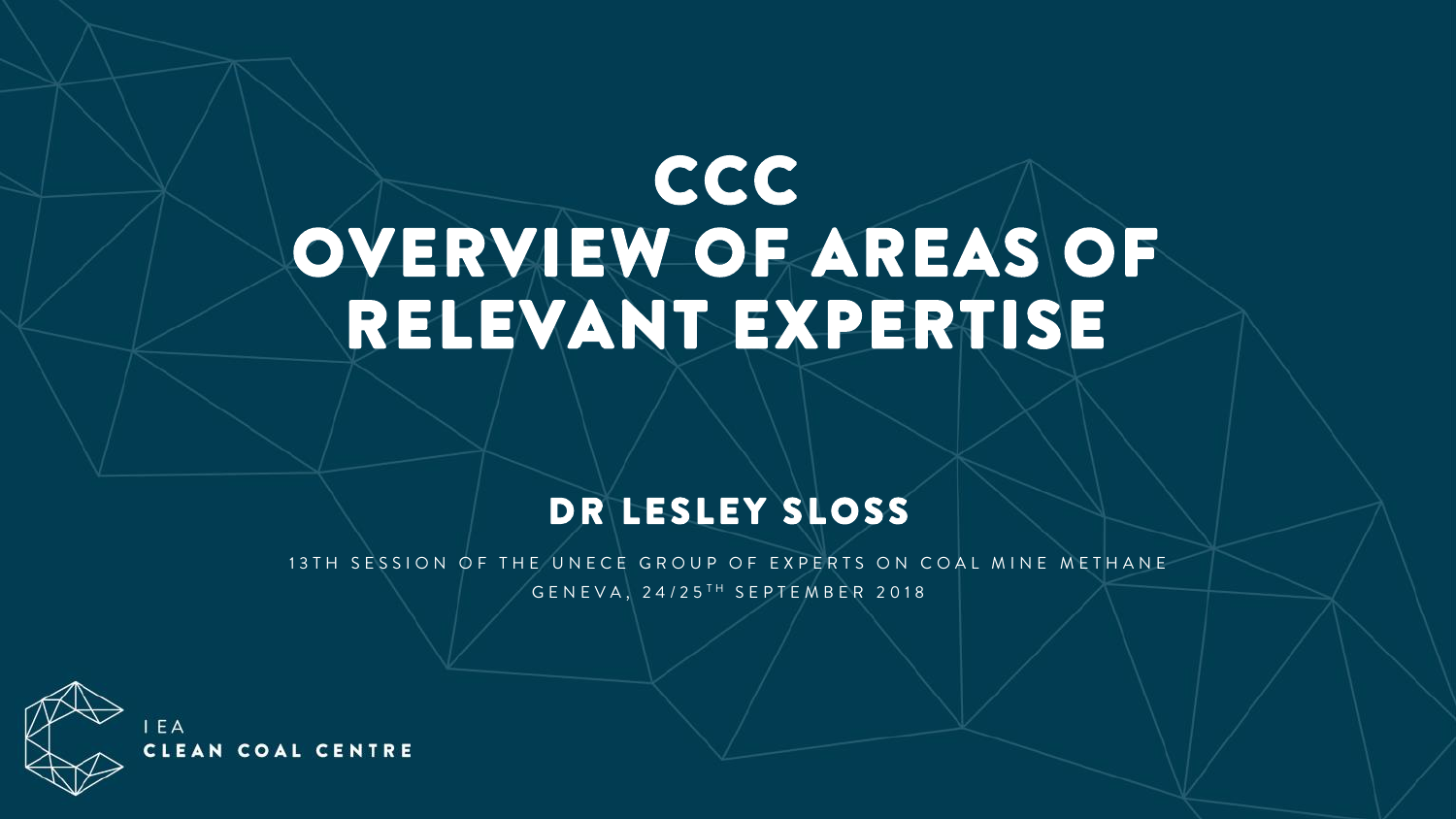# **CCC** OVERVIEW OF AREAS OF RELEVANT EXPERTISE

### DR LESLEY SLOSS

13 TH SESSION OF THE UNECE GROUP OF EXPERTS ON COAL MINE METHANE GENEVA, 24/25<sup>TH</sup> SEPTEMBER 2018

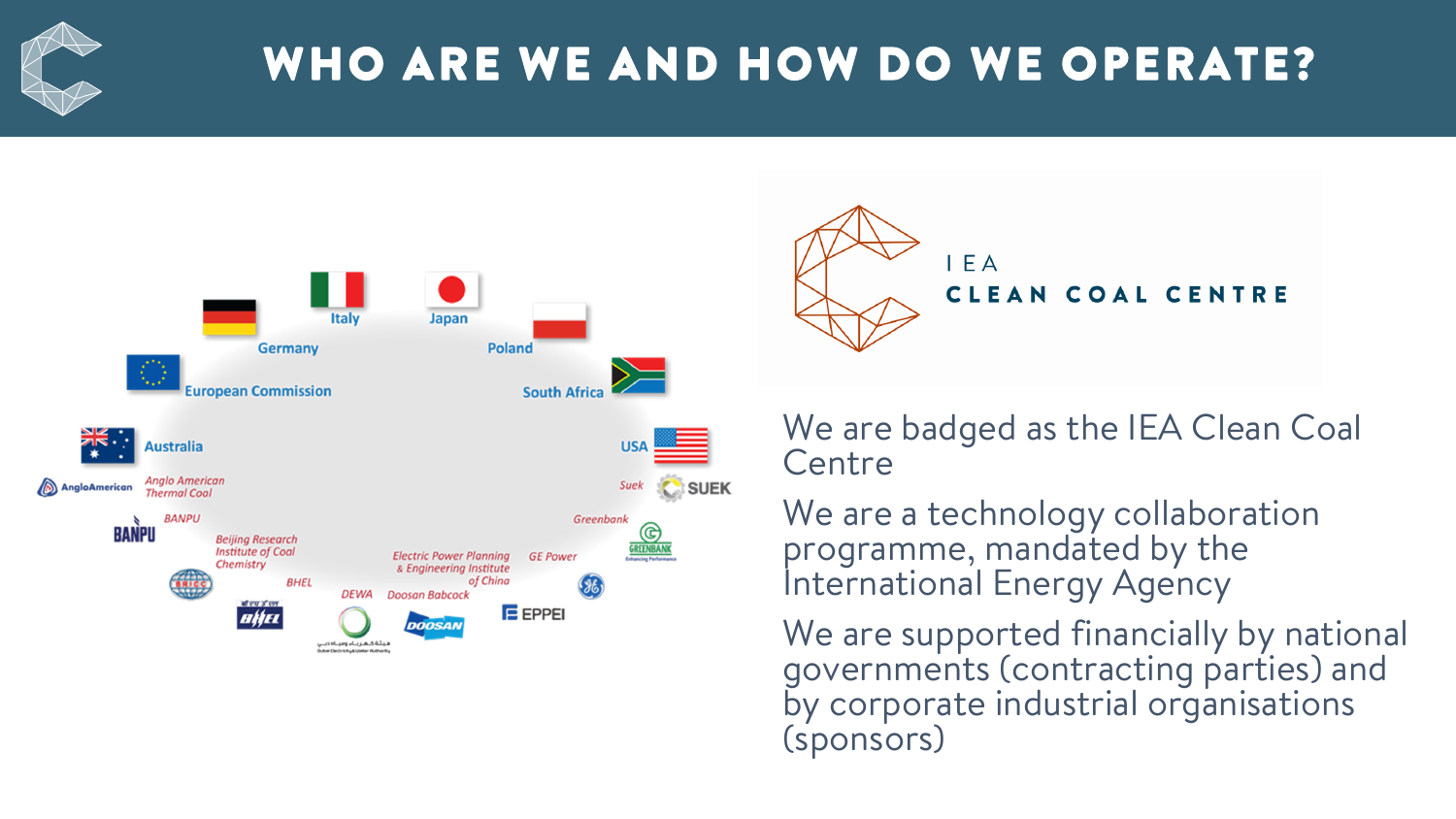

## WHO ARE WE AND HOW DO WE OPERATE?





We are badged as the IEA Clean Coal **Centre** 

We are a technology collaboration programme, mandated by the International Energy Agency

We are supported financially by national governments (contracting parties) and by corporate industrial organisations (sponsors)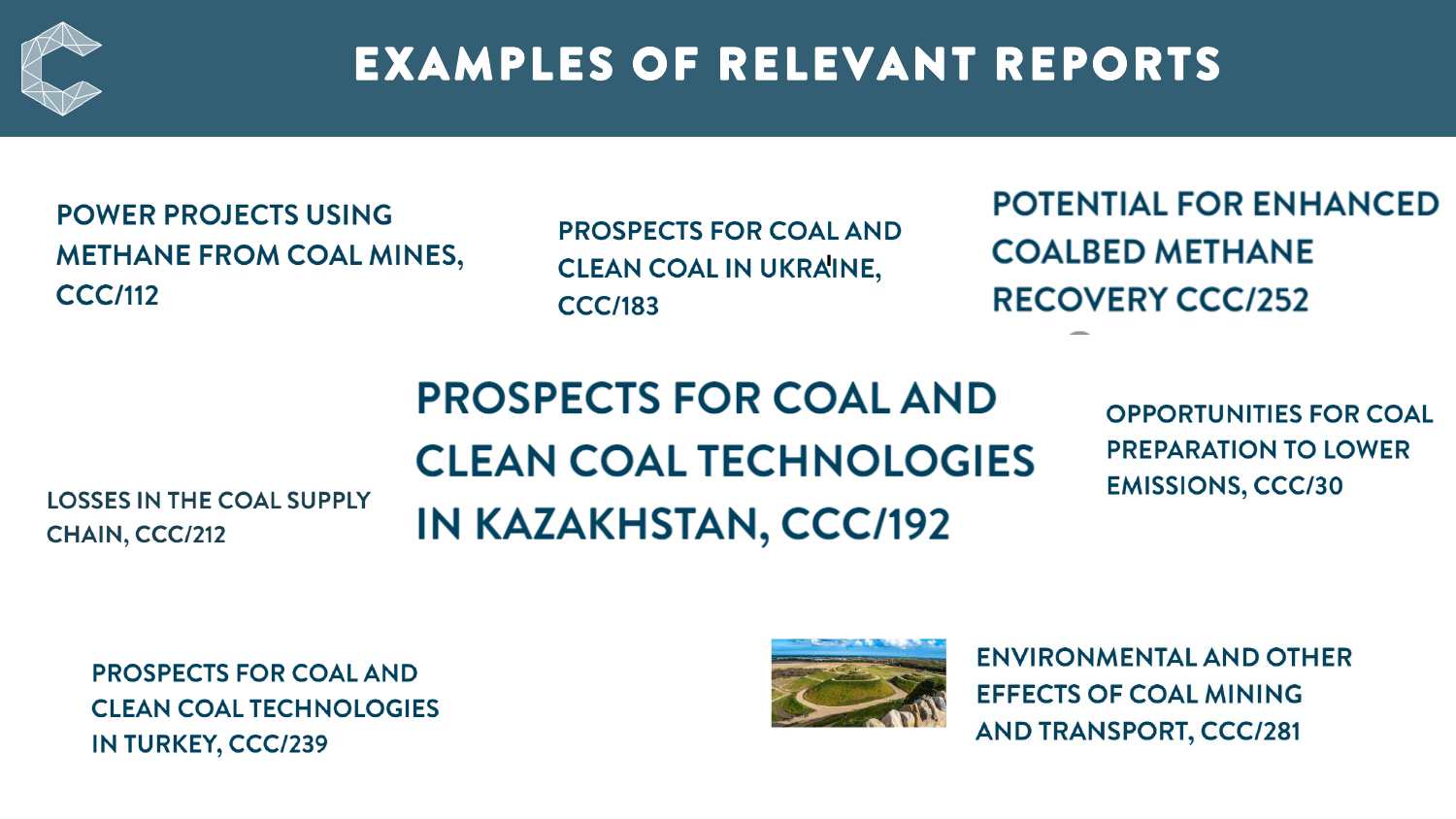

## **EXAMPLES OF RELEVANT REPORTS**

**POWER PROJECTS USING METHANE FROM COAL MINES, CCC/112** 

**PROSPECTS FOR COAL AND CLEAN COAL IN UKRAINE, CCC/183** 

**POTENTIAL FOR ENHANCED COALBED METHANE RECOVERY CCC/252** 

**LOSSES IN THE COAL SUPPLY** CHAIN, CCC/212

## **PROSPECTS FOR COAL AND CLEAN COAL TECHNOLOGIES IN KAZAKHSTAN, CCC/192**

**OPPORTUNITIES FOR COAL PREPARATION TO LOWER EMISSIONS, CCC/30** 

**PROSPECTS FOR COAL AND CLEAN COAL TECHNOLOGIES IN TURKEY, CCC/239** 



**ENVIRONMENTAL AND OTHER EFFECTS OF COAL MINING AND TRANSPORT, CCC/281**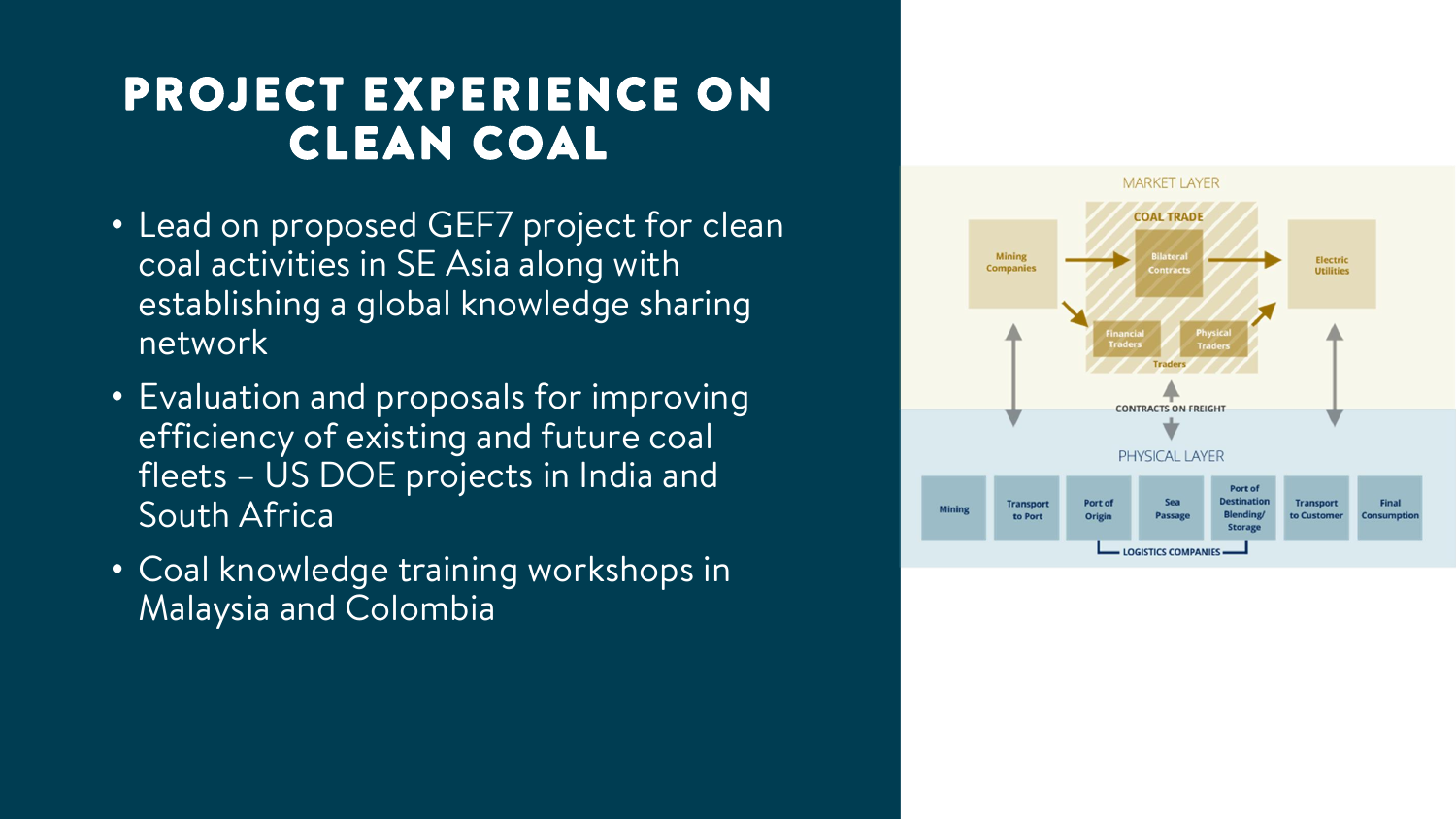## PROJECT EXPERIENCE ON CLEAN COAL

- Lead on proposed GEF7 project for clean coal activities in SE Asia along with establishing a global knowledge sharing network
- Evaluation and proposals for improving efficiency of existing and future coal fleets – US DOE projects in India and South Africa
- Coal knowledge training workshops in Malaysia and Colombia

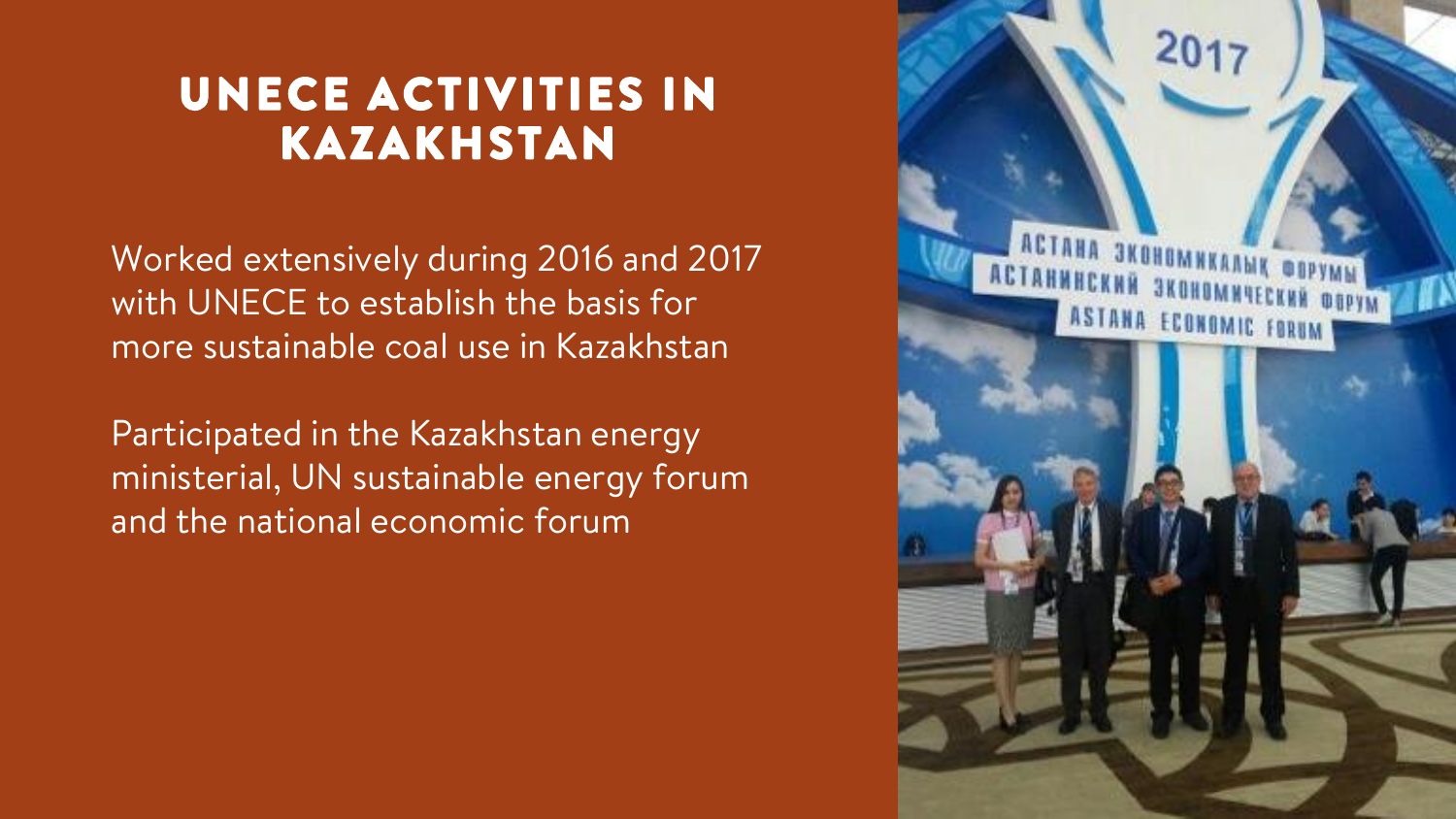## UNECE ACTIVITIES IN KAZAKHSTAN

Worked extensively during 2016 and 2017 with UNECE to establish the basis for more sustainable coal use in Kazakhstan

Participated in the Kazakhstan energy ministerial, UN sustainable energy forum and the national economic forum